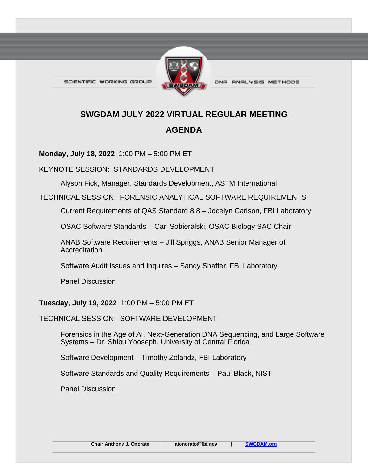SCIENTIFIC WORKING GROUP



DNA ANALYSIS METHODS

# **SWGDAM JULY 2022 VIRTUAL REGULAR MEETING AGENDA**

**Monday, July 18, 2022** 1:00 PM – 5:00 PM ET

KEYNOTE SESSION: STANDARDS DEVELOPMENT

Alyson Fick, Manager, Standards Development, ASTM International

TECHNICAL SESSION: FORENSIC ANALYTICAL SOFTWARE REQUIREMENTS

Current Requirements of QAS Standard 8.8 – Jocelyn Carlson, FBI Laboratory

OSAC Software Standards – Carl Sobieralski, OSAC Biology SAC Chair

ANAB Software Requirements – Jill Spriggs, ANAB Senior Manager of **Accreditation** 

Software Audit Issues and Inquires – Sandy Shaffer, FBI Laboratory

Panel Discussion

#### **Tuesday, July 19, 2022** 1:00 PM – 5:00 PM ET

#### TECHNICAL SESSION: SOFTWARE DEVELOPMENT

Forensics in the Age of AI, Next-Generation DNA Sequencing, and Large Software Systems – Dr. Shibu Yooseph, University of Central Florida

Software Development – Timothy Zolandz, FBI Laboratory

Software Standards and Quality Requirements – Paul Black, NIST

Panel Discussion

**Chair Anthony J. Onorato | ajonorato@fbi.gov | [SWGDAM.org](https://www.swgdam.org/)**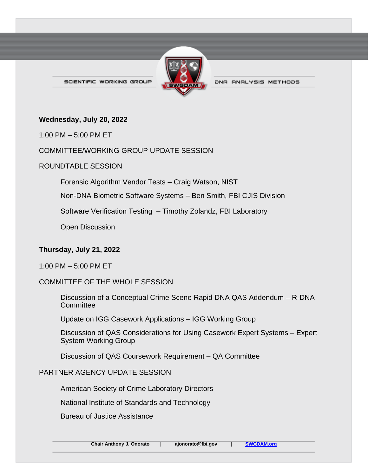

DNA ANALYSIS METHODS

SCIENTIFIC WORKING GROUP

#### **Wednesday, July 20, 2022**

1:00 PM – 5:00 PM ET

## COMMITTEE/WORKING GROUP UPDATE SESSION

## ROUNDTABLE SESSION

Forensic Algorithm Vendor Tests – Craig Watson, NIST

Non-DNA Biometric Software Systems – Ben Smith, FBI CJIS Division

Software Verification Testing – Timothy Zolandz, FBI Laboratory

Open Discussion

## **Thursday, July 21, 2022**

1:00 PM – 5:00 PM ET

## COMMITTEE OF THE WHOLE SESSION

Discussion of a Conceptual Crime Scene Rapid DNA QAS Addendum – R-DNA **Committee** 

Update on IGG Casework Applications – IGG Working Group

Discussion of QAS Considerations for Using Casework Expert Systems – Expert System Working Group

Discussion of QAS Coursework Requirement – QA Committee

## PARTNER AGENCY UPDATE SESSION

American Society of Crime Laboratory Directors

National Institute of Standards and Technology

Bureau of Justice Assistance

**Chair Anthony J. Onorato | ajonorato@fbi.gov | [SWGDAM.org](https://www.swgdam.org/)**